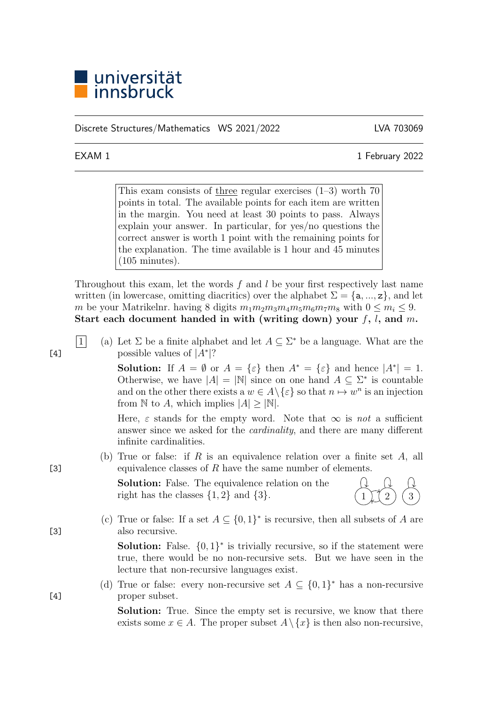

Discrete Structures/Mathematics WS 2021/2022 LVA 703069

EXAM 1 1 February 2022

This exam consists of three regular exercises  $(1-3)$  worth 70 points in total. The available points for each item are written in the margin. You need at least 30 points to pass. Always explain your answer. In particular, for yes/no questions the correct answer is worth 1 point with the remaining points for the explanation. The time available is 1 hour and 45 minutes (105 minutes).

Throughout this exam, let the words f and l be your first respectively last name written (in lowercase, omitting diacritics) over the alphabet  $\Sigma = \{a, ..., z\}$ , and let m be your Matrikelnr. having 8 digits  $m_1m_2m_3m_4m_5m_6m_7m_8$  with  $0 \le m_i \le 9$ . Start each document handed in with (writing down) your  $f, l$ , and m.

1 (a) Let  $\Sigma$  be a finite alphabet and let  $A \subseteq \Sigma^*$  be a language. What are the  $[4]$  possible values of  $|A^*|$ ?

> **Solution:** If  $A = \emptyset$  or  $A = \{\varepsilon\}$  then  $A^* = \{\varepsilon\}$  and hence  $|A^*| = 1$ . Otherwise, we have  $|A| = |\mathbb{N}|$  since on one hand  $A \subseteq \Sigma^*$  is countable and on the other there exists a  $w \in A \backslash \{\varepsilon\}$  so that  $n \mapsto w^n$  is an injection from N to A, which implies  $|A| \geq |\mathbb{N}|$ .

> Here,  $\varepsilon$  stands for the empty word. Note that  $\infty$  is not a sufficient answer since we asked for the cardinality, and there are many different infinite cardinalities.

(b) True or false: if R is an equivalence relation over a finite set  $A$ , all [3] equivalence classes of R have the same number of elements.

> Solution: False. The equivalence relation on the right has the classes  $\{1, 2\}$  and  $\{3\}$ .



(c) True or false: If a set  $A \subseteq \{0,1\}^*$  is recursive, then all subsets of A are [3] also recursive.

> **Solution:** False.  $\{0,1\}^*$  is trivially recursive, so if the statement were true, there would be no non-recursive sets. But we have seen in the lecture that non-recursive languages exist.

(d) True or false: every non-recursive set  $A \subseteq \{0,1\}^*$  has a non-recursive [4] proper subset.

> Solution: True. Since the empty set is recursive, we know that there exists some  $x \in A$ . The proper subset  $A \setminus \{x\}$  is then also non-recursive,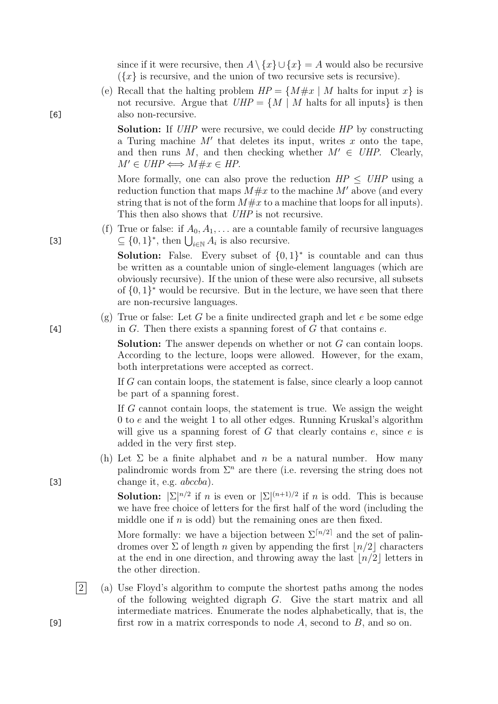since if it were recursive, then  $A \setminus \{x\} \cup \{x\} = A$  would also be recursive  $({x}$  is recursive, and the union of two recursive sets is recursive).

(e) Recall that the halting problem  $HP = \{M \# x \mid M \text{ halts for input } x\}$  is not recursive. Argue that  $UHP = \{M \mid M \text{ halts for all inputs}\}\$ is then [6] also non-recursive.

> **Solution:** If UHP were recursive, we could decide HP by constructing a Turing machine  $M'$  that deletes its input, writes  $x$  onto the tape, and then runs M, and then checking whether  $M' \in UHP$ . Clearly,  $M' \in UHP \Longleftrightarrow M \# x \in HP$ .

> More formally, one can also prove the reduction  $HP \leq UHP$  using a reduction function that maps  $M \# x$  to the machine M' above (and every string that is not of the form  $M \# x$  to a machine that loops for all inputs). This then also shows that UHP is not recursive.

(f) True or false: if  $A_0, A_1, \ldots$  are a countable family of recursive languages [3]  $\subseteq \{0,1\}^*$ , then  $\bigcup_{i\in\mathbb{N}} A_i$  is also recursive.

> **Solution:** False. Every subset of  $\{0,1\}^*$  is countable and can thus be written as a countable union of single-element languages (which are obviously recursive). If the union of these were also recursive, all subsets of  $\{0,1\}^*$  would be recursive. But in the lecture, we have seen that there are non-recursive languages.

(g) True or false: Let G be a finite undirected graph and let  $e$  be some edge [4]  $\qquad \qquad$  in G. Then there exists a spanning forest of G that contains e.

> Solution: The answer depends on whether or not G can contain loops. According to the lecture, loops were allowed. However, for the exam, both interpretations were accepted as correct.

> If G can contain loops, the statement is false, since clearly a loop cannot be part of a spanning forest.

> If  $G$  cannot contain loops, the statement is true. We assign the weight 0 to e and the weight 1 to all other edges. Running Kruskal's algorithm will give us a spanning forest of  $G$  that clearly contains  $e$ , since  $e$  is added in the very first step.

(h) Let  $\Sigma$  be a finite alphabet and n be a natural number. How many palindromic words from  $\Sigma<sup>n</sup>$  are there (i.e. reversing the string does not [3] change it, e.g.  $abccba$ .

> **Solution:**  $|\Sigma|^{n/2}$  if *n* is even or  $|\Sigma|^{(n+1)/2}$  if *n* is odd. This is because we have free choice of letters for the first half of the word (including the middle one if  $n$  is odd) but the remaining ones are then fixed.

> More formally: we have a bijection between  $\Sigma^{[n/2]}$  and the set of palindromes over  $\Sigma$  of length n given by appending the first  $\lfloor n/2 \rfloor$  characters at the end in one direction, and throwing away the last  $\lfloor n/2 \rfloor$  letters in the other direction.

 $|2|$  (a) Use Floyd's algorithm to compute the shortest paths among the nodes of the following weighted digraph G. Give the start matrix and all intermediate matrices. Enumerate the nodes alphabetically, that is, the [9] first row in a matrix corresponds to node  $A$ , second to  $B$ , and so on.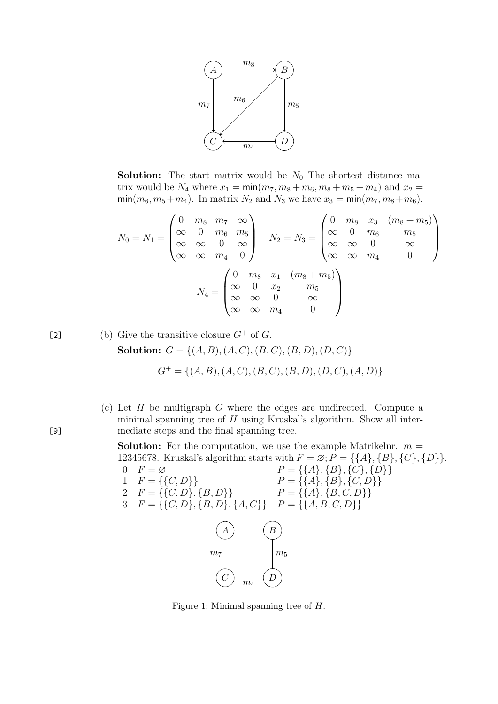

**Solution:** The start matrix would be  $N_0$  The shortest distance matrix would be  $N_4$  where  $x_1 = \min(m_7, m_8 + m_6, m_8 + m_5 + m_4)$  and  $x_2 =$  $\min(m_6, m_5+m_4)$ . In matrix  $N_2$  and  $N_3$  we have  $x_3 = \min(m_7, m_8+m_6)$ .

$$
N_0 = N_1 = \begin{pmatrix} 0 & m_8 & m_7 & \infty \\ \infty & 0 & m_6 & m_5 \\ \infty & \infty & 0 & \infty \\ \infty & \infty & m_4 & 0 \end{pmatrix} \qquad N_2 = N_3 = \begin{pmatrix} 0 & m_8 & x_3 & (m_8 + m_5) \\ \infty & 0 & m_6 & m_5 \\ \infty & \infty & 0 & \infty \\ \infty & \infty & m_4 & 0 \end{pmatrix}
$$

$$
N_4 = \begin{pmatrix} 0 & m_8 & x_1 & (m_8 + m_5) \\ \infty & 0 & x_2 & m_5 \\ \infty & \infty & 0 & \infty \\ \infty & \infty & m_4 & 0 \end{pmatrix}
$$

[2] (b) Give the transitive closure 
$$
G^+
$$
 of  $G$ .  
\n**Solution:**  $G = \{(A, B), (A, C), (B, C), (B, D), (D, C)\}$   
\n $G^+ = \{(A, B), (A, C), (B, C), (B, D), (D, C), (A, D)\}$ 

(c) Let  $H$  be multigraph  $G$  where the edges are undirected. Compute a minimal spanning tree of  $H$  using Kruskal's algorithm. Show all inter-[9] mediate steps and the final spanning tree.

> **Solution:** For the computation, we use the example Matrikelnr.  $m =$ 12345678. Kruskal's algorithm starts with  $F = \emptyset$ ;  $P = \{\{A\}, \{B\}, \{C\}, \{D\}\}.$ 0  $F = \varnothing$   $P = \{\{A\}, \{B\}, \{C\}, \{D\}\}\$

- 1  $F = \{\{C, D\}\}\$   $P = \{\{A\}, \{B\}, \{C, D\}\}\$ 
	- 2  $F = \{\{C, D\}, \{B, D\}\}\$   $P = \{\{A\}, \{B, C, D\}\}\$
	- $3 \quad F = \{ \{C, D\}, \{B, D\}, \{A, C\} \} \quad P = \{ \{A, B, C, D\} \}$



Figure 1: Minimal spanning tree of H.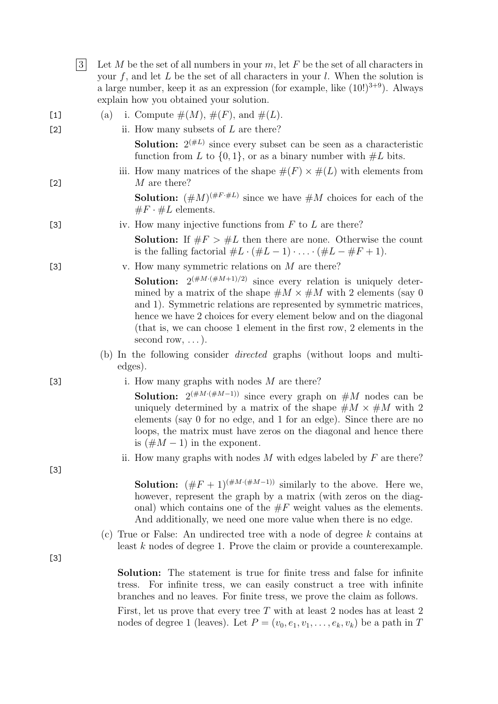|       | 3 | Let M be the set of all numbers in your $m$ , let F be the set of all characters in<br>your $f$ , and let $L$ be the set of all characters in your $l$ . When the solution is<br>a large number, keep it as an expression (for example, like $(10!)^{3+9}$ ). Always<br>explain how you obtained your solution.                                                                                                 |
|-------|---|-----------------------------------------------------------------------------------------------------------------------------------------------------------------------------------------------------------------------------------------------------------------------------------------------------------------------------------------------------------------------------------------------------------------|
| $[1]$ |   | i. Compute $\#(M)$ , $\#(F)$ , and $\#(L)$ .<br>(a)                                                                                                                                                                                                                                                                                                                                                             |
| $[2]$ |   | ii. How many subsets of $L$ are there?                                                                                                                                                                                                                                                                                                                                                                          |
|       |   | <b>Solution:</b> $2^{(\#L)}$ since every subset can be seen as a characteristic<br>function from L to $\{0,1\}$ , or as a binary number with $\#L$ bits.                                                                                                                                                                                                                                                        |
| $[2]$ |   | iii. How many matrices of the shape $\#(F) \times \#(L)$ with elements from<br>M are there?                                                                                                                                                                                                                                                                                                                     |
|       |   | <b>Solution:</b> $(\#M)^{(\#F \cdot \#L)}$ since we have $\#M$ choices for each of the<br>$\#F \cdot \#L$ elements.                                                                                                                                                                                                                                                                                             |
| $[3]$ |   | iv. How many injective functions from $F$ to $L$ are there?                                                                                                                                                                                                                                                                                                                                                     |
|       |   | <b>Solution:</b> If $#F > #L$ then there are none. Otherwise the count<br>is the falling factorial $#L \cdot (#L-1) \cdot  \cdot (#L - #F + 1).$                                                                                                                                                                                                                                                                |
| $[3]$ |   | v. How many symmetric relations on $M$ are there?                                                                                                                                                                                                                                                                                                                                                               |
|       |   | <b>Solution:</b> $2^{(\#M \cdot (\#M+1)/2)}$ since every relation is uniquely deter-<br>mined by a matrix of the shape $\#M \times \#M$ with 2 elements (say 0)<br>and 1). Symmetric relations are represented by symmetric matrices,<br>hence we have 2 choices for every element below and on the diagonal<br>(that is, we can choose 1 element in the first row, 2 elements in the<br>second row, $\dots$ ). |
|       |   | (b) In the following consider <i>directed</i> graphs (without loops and multi-<br>edges).                                                                                                                                                                                                                                                                                                                       |
| $[3]$ |   | i. How many graphs with nodes $M$ are there?                                                                                                                                                                                                                                                                                                                                                                    |
|       |   | <b>Solution:</b> $2^{(\#M \cdot (\#M-1))}$ since every graph on $\#M$ nodes can be<br>uniquely determined by a matrix of the shape $\#M \times \#M$ with 2<br>elements (say 0 for no edge, and 1 for an edge). Since there are no<br>loops, the matrix must have zeros on the diagonal and hence there<br>is $(\#M - 1)$ in the exponent.                                                                       |
|       |   | ii. How many graphs with nodes $M$ with edges labeled by $F$ are there?                                                                                                                                                                                                                                                                                                                                         |
| $[3]$ |   |                                                                                                                                                                                                                                                                                                                                                                                                                 |
|       |   | <b>Solution:</b> $(\#F + 1)^{(\#M \cdot (\#M-1))}$ similarly to the above. Here we,<br>however, represent the graph by a matrix (with zeros on the diag-<br>onal) which contains one of the $\#F$ weight values as the elements.<br>And additionally, we need one more value when there is no edge.                                                                                                             |
|       |   | (c) True or False: An undirected tree with a node of degree $k$ contains at<br>least $k$ nodes of degree 1. Prove the claim or provide a counterexample.                                                                                                                                                                                                                                                        |
| $[3]$ |   |                                                                                                                                                                                                                                                                                                                                                                                                                 |
|       |   | <b>Solution:</b> The statement is true for finite tress and false for infinite<br>tress. For infinite tress, we can easily construct a tree with infinite<br>branches and no leaves. For finite tress, we prove the claim as follows.                                                                                                                                                                           |
|       |   | First, let us prove that every tree $T$ with at least 2 nodes has at least 2<br>nodes of degree 1 (leaves). Let $P = (v_0, e_1, v_1, \dots, e_k, v_k)$ be a path in T                                                                                                                                                                                                                                           |